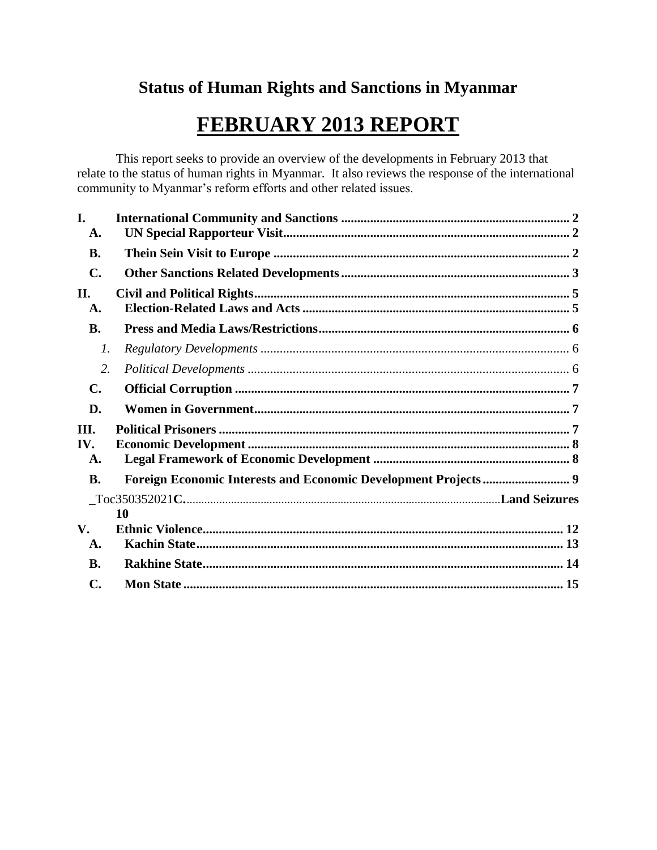# **Status of Human Rights and Sanctions in Myanmar**

# **FEBRUARY 2013 REPORT**

This report seeks to provide an overview of the developments in February 2013 that relate to the status of human rights in Myanmar. It also reviews the response of the international community to Myanmar's reform efforts and other related issues.

| I.<br>A.       |    |  |
|----------------|----|--|
| <b>B.</b>      |    |  |
| $\mathbf{C}$ . |    |  |
| II.<br>A.      |    |  |
| <b>B.</b>      |    |  |
| 1.             |    |  |
| 2.             |    |  |
| C.             |    |  |
| D.             |    |  |
| III.           |    |  |
| IV.            |    |  |
| A.             |    |  |
| <b>B.</b>      |    |  |
|                | 10 |  |
| V.             |    |  |
| A.             |    |  |
| <b>B.</b>      |    |  |
|                |    |  |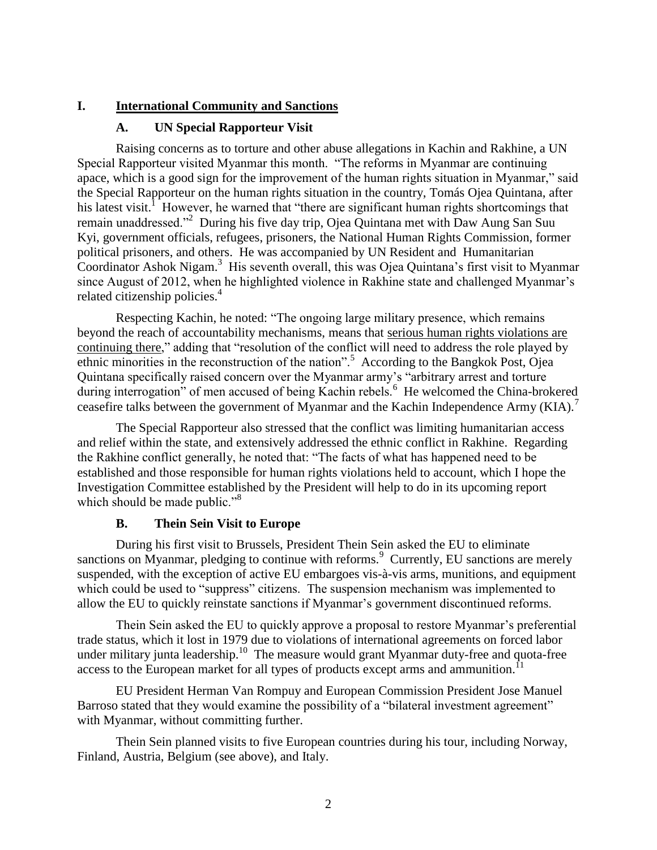#### <span id="page-1-1"></span><span id="page-1-0"></span>**I. International Community and Sanctions**

#### **A. UN Special Rapporteur Visit**

Raising concerns as to torture and other abuse allegations in Kachin and Rakhine, a UN Special Rapporteur visited Myanmar this month. "The reforms in Myanmar are continuing apace, which is a good sign for the improvement of the human rights situation in Myanmar," said the Special Rapporteur on the human rights situation in the country, Tomás Ojea Quintana, after his latest visit.<sup>1</sup> However, he warned that "there are significant human rights shortcomings that remain unaddressed."<sup>2</sup> During his five day trip, Ojea Quintana met with Daw Aung San Suu Kyi, government officials, refugees, prisoners, the National Human Rights Commission, former political prisoners, and others. He was accompanied by UN Resident and Humanitarian Coordinator Ashok Nigam.<sup>3</sup> His seventh overall, this was Ojea Quintana's first visit to Myanmar since August of 2012, when he highlighted violence in Rakhine state and challenged Myanmar's related citizenship policies.<sup>4</sup>

Respecting Kachin, he noted: "The ongoing large military presence, which remains beyond the reach of accountability mechanisms, means that serious human rights violations are continuing there," adding that "resolution of the conflict will need to address the role played by ethnic minorities in the reconstruction of the nation".<sup>5</sup> According to the Bangkok Post, Ojea Quintana specifically raised concern over the Myanmar army's "arbitrary arrest and torture during interrogation" of men accused of being Kachin rebels.<sup>6</sup> He welcomed the China-brokered ceasefire talks between the government of Myanmar and the Kachin Independence Army (KIA).<sup>7</sup>

The Special Rapporteur also stressed that the conflict was limiting humanitarian access and relief within the state, and extensively addressed the ethnic conflict in Rakhine. Regarding the Rakhine conflict generally, he noted that: "The facts of what has happened need to be established and those responsible for human rights violations held to account, which I hope the Investigation Committee established by the President will help to do in its upcoming report which should be made public."<sup>8</sup>

# **B. Thein Sein Visit to Europe**

<span id="page-1-2"></span>During his first visit to Brussels, President Thein Sein asked the EU to eliminate sanctions on Myanmar, pledging to continue with reforms. $\degree$  Currently, EU sanctions are merely suspended, with the exception of active EU embargoes vis-à-vis arms, munitions, and equipment which could be used to "suppress" citizens. The suspension mechanism was implemented to allow the EU to quickly reinstate sanctions if Myanmar's government discontinued reforms.

Thein Sein asked the EU to quickly approve a proposal to restore Myanmar's preferential trade status, which it lost in 1979 due to violations of international agreements on forced labor under military junta leadership.<sup>10</sup> The measure would grant Myanmar duty-free and quota-free access to the European market for all types of products except arms and ammunition.<sup>11</sup>

EU President Herman Van Rompuy and European Commission President Jose Manuel Barroso stated that they would examine the possibility of a "bilateral investment agreement" with Myanmar, without committing further.

Thein Sein planned visits to five European countries during his tour, including Norway, Finland, Austria, Belgium (see above), and Italy.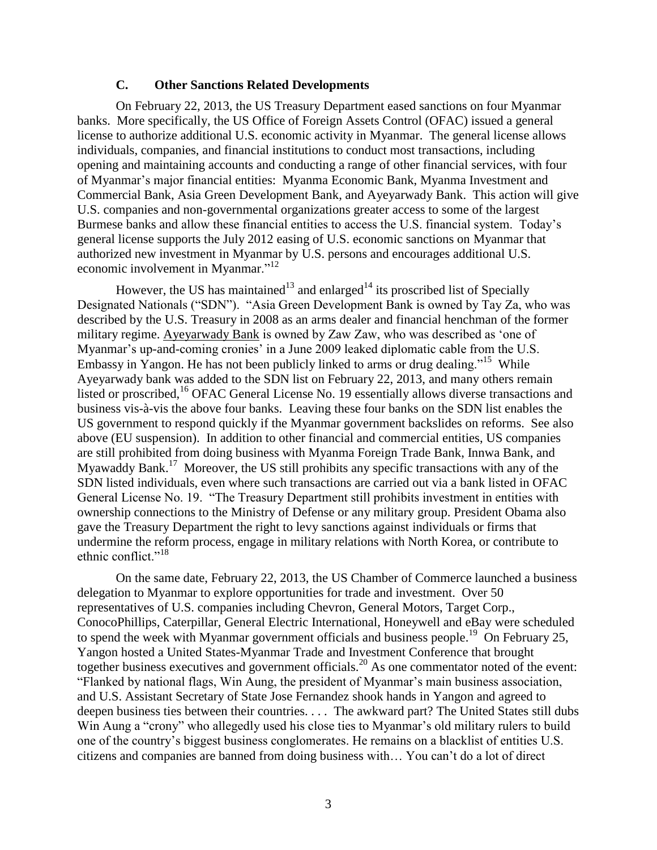#### **C. Other Sanctions Related Developments**

<span id="page-2-0"></span>On February 22, 2013, the US Treasury Department eased sanctions on four Myanmar banks. More specifically, the US Office of Foreign Assets Control (OFAC) issued a general license to authorize additional U.S. economic activity in Myanmar. The general license allows individuals, companies, and financial institutions to conduct most transactions, including opening and maintaining accounts and conducting a range of other financial services, with four of Myanmar's major financial entities: Myanma Economic Bank, Myanma Investment and Commercial Bank, Asia Green Development Bank, and Ayeyarwady Bank. This action will give U.S. companies and non-governmental organizations greater access to some of the largest Burmese banks and allow these financial entities to access the U.S. financial system. Today's general license supports the July 2012 easing of U.S. economic sanctions on Myanmar that authorized new investment in Myanmar by U.S. persons and encourages additional U.S. economic involvement in Myanmar."<sup>12</sup>

However, the US has maintained<sup>13</sup> and enlarged<sup>14</sup> its proscribed list of Specially Designated Nationals ("SDN"). "Asia Green Development Bank is owned by Tay Za, who was described by the U.S. Treasury in 2008 as an arms dealer and financial henchman of the former military regime. Ayeyarwady Bank is owned by Zaw Zaw, who was described as 'one of Myanmar's up-and-coming cronies' in a June 2009 leaked diplomatic cable from the U.S. Embassy in Yangon. He has not been publicly linked to arms or drug dealing."<sup>15</sup> While Ayeyarwady bank was added to the SDN list on February 22, 2013, and many others remain listed or proscribed,<sup>16</sup> OFAC General License No. 19 essentially allows diverse transactions and business vis-à-vis the above four banks. Leaving these four banks on the SDN list enables the US government to respond quickly if the Myanmar government backslides on reforms. See also above (EU suspension). In addition to other financial and commercial entities, US companies are still prohibited from doing business with Myanma Foreign Trade Bank, Innwa Bank, and Myawaddy Bank.<sup>17</sup> Moreover, the US still prohibits any specific transactions with any of the SDN listed individuals, even where such transactions are carried out via a bank listed in OFAC General License No. 19. "The Treasury Department still prohibits investment in entities with ownership connections to the Ministry of Defense or any military group. President Obama also gave the Treasury Department the right to levy sanctions against individuals or firms that undermine the reform process, engage in military relations with North Korea, or contribute to ethnic conflict."<sup>18</sup>

On the same date, February 22, 2013, the US Chamber of Commerce launched a business delegation to Myanmar to explore opportunities for trade and investment. Over 50 representatives of U.S. companies including Chevron, General Motors, Target Corp., ConocoPhillips, Caterpillar, General Electric International, Honeywell and eBay were scheduled to spend the week with Myanmar government officials and business people.<sup>19</sup> On February 25, Yangon hosted a United States-Myanmar Trade and Investment Conference that brought together business executives and government officials.<sup>20</sup> As one commentator noted of the event: "Flanked by national flags, Win Aung, the president of Myanmar's main business association, and U.S. Assistant Secretary of State Jose Fernandez shook hands in Yangon and agreed to deepen business ties between their countries. . . . The awkward part? The United States still dubs Win Aung a "crony" who allegedly used his close ties to Myanmar's old military rulers to build one of the country's biggest business conglomerates. He remains on a blacklist of entities U.S. citizens and companies are banned from doing business with… You can't do a lot of direct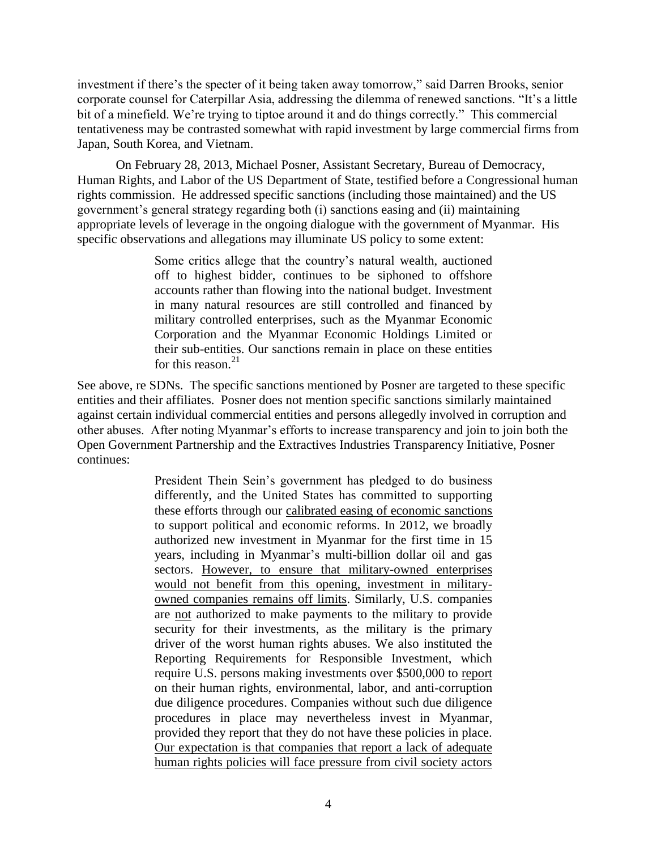investment if there's the specter of it being taken away tomorrow," said Darren Brooks, senior corporate counsel for Caterpillar Asia, addressing the dilemma of renewed sanctions. "It's a little bit of a minefield. We're trying to tiptoe around it and do things correctly." This commercial tentativeness may be contrasted somewhat with rapid investment by large commercial firms from Japan, South Korea, and Vietnam.

On February 28, 2013, Michael Posner, Assistant Secretary, Bureau of Democracy, Human Rights, and Labor of the US Department of State, testified before a Congressional human rights commission. He addressed specific sanctions (including those maintained) and the US government's general strategy regarding both (i) sanctions easing and (ii) maintaining appropriate levels of leverage in the ongoing dialogue with the government of Myanmar. His specific observations and allegations may illuminate US policy to some extent:

> Some critics allege that the country's natural wealth, auctioned off to highest bidder, continues to be siphoned to offshore accounts rather than flowing into the national budget. Investment in many natural resources are still controlled and financed by military controlled enterprises, such as the Myanmar Economic Corporation and the Myanmar Economic Holdings Limited or their sub-entities. Our sanctions remain in place on these entities for this reason.<sup>21</sup>

See above, re SDNs. The specific sanctions mentioned by Posner are targeted to these specific entities and their affiliates. Posner does not mention specific sanctions similarly maintained against certain individual commercial entities and persons allegedly involved in corruption and other abuses. After noting Myanmar's efforts to increase transparency and join to join both the Open Government Partnership and the Extractives Industries Transparency Initiative, Posner continues:

> President Thein Sein's government has pledged to do business differently, and the United States has committed to supporting these efforts through our calibrated easing of economic sanctions to support political and economic reforms. In 2012, we broadly authorized new investment in Myanmar for the first time in 15 years, including in Myanmar's multi-billion dollar oil and gas sectors. However, to ensure that military-owned enterprises would not benefit from this opening, investment in militaryowned companies remains off limits. Similarly, U.S. companies are not authorized to make payments to the military to provide security for their investments, as the military is the primary driver of the worst human rights abuses. We also instituted the Reporting Requirements for Responsible Investment, which require U.S. persons making investments over \$500,000 to report on their human rights, environmental, labor, and anti-corruption due diligence procedures. Companies without such due diligence procedures in place may nevertheless invest in Myanmar, provided they report that they do not have these policies in place. Our expectation is that companies that report a lack of adequate human rights policies will face pressure from civil society actors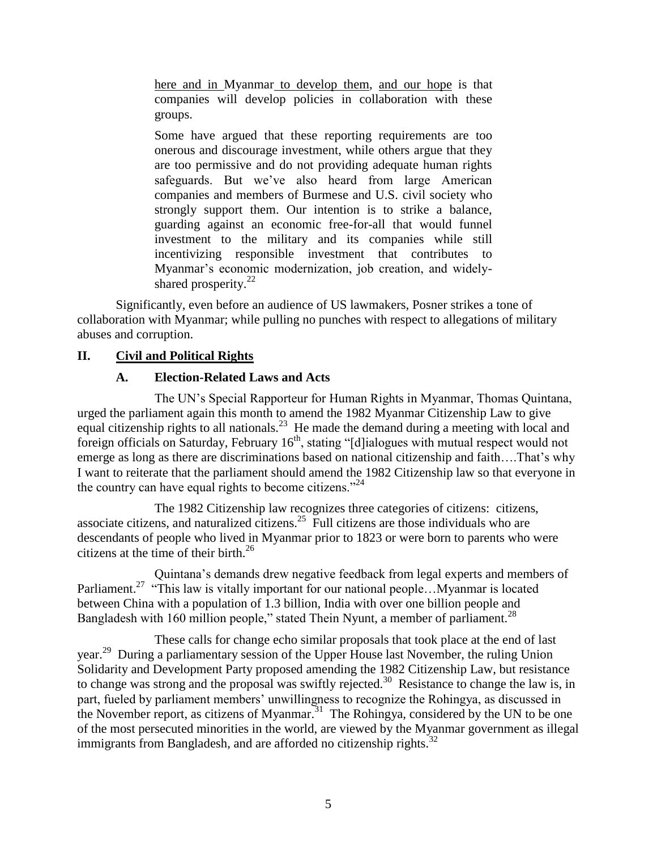here and in Myanmar to develop them, and our hope is that companies will develop policies in collaboration with these groups.

Some have argued that these reporting requirements are too onerous and discourage investment, while others argue that they are too permissive and do not providing adequate human rights safeguards. But we've also heard from large American companies and members of Burmese and U.S. civil society who strongly support them. Our intention is to strike a balance, guarding against an economic free-for-all that would funnel investment to the military and its companies while still incentivizing responsible investment that contributes to Myanmar's economic modernization, job creation, and widelyshared prosperity. $^{22}$ 

Significantly, even before an audience of US lawmakers, Posner strikes a tone of collaboration with Myanmar; while pulling no punches with respect to allegations of military abuses and corruption.

# <span id="page-4-1"></span><span id="page-4-0"></span>**II. Civil and Political Rights**

# **A. Election-Related Laws and Acts**

The UN's Special Rapporteur for Human Rights in Myanmar, Thomas Quintana, urged the parliament again this month to amend the 1982 Myanmar Citizenship Law to give equal citizenship rights to all nationals.<sup>23</sup> He made the demand during a meeting with local and foreign officials on Saturday, February 16<sup>th</sup>, stating "[d]ialogues with mutual respect would not emerge as long as there are discriminations based on national citizenship and faith….That's why I want to reiterate that the parliament should amend the 1982 Citizenship law so that everyone in the country can have equal rights to become citizens."<sup>24</sup>

The 1982 Citizenship law recognizes three categories of citizens: citizens, associate citizens, and naturalized citizens.<sup>25</sup> Full citizens are those individuals who are descendants of people who lived in Myanmar prior to 1823 or were born to parents who were citizens at the time of their birth. $^{26}$ 

Quintana's demands drew negative feedback from legal experts and members of Parliament.<sup>27</sup> "This law is vitally important for our national people...Myanmar is located between China with a population of 1.3 billion, India with over one billion people and Bangladesh with 160 million people," stated Thein Nyunt, a member of parliament.<sup>28</sup>

These calls for change echo similar proposals that took place at the end of last year.<sup>29</sup> During a parliamentary session of the Upper House last November, the ruling Union Solidarity and Development Party proposed amending the 1982 Citizenship Law, but resistance to change was strong and the proposal was swiftly rejected.<sup>30</sup> Resistance to change the law is, in part, fueled by parliament members' unwillingness to recognize the Rohingya, as discussed in the November report, as citizens of Myanmar.<sup>31</sup> The Rohingya, considered by the UN to be one of the most persecuted minorities in the world, are viewed by the Myanmar government as illegal immigrants from Bangladesh, and are afforded no citizenship rights. $32$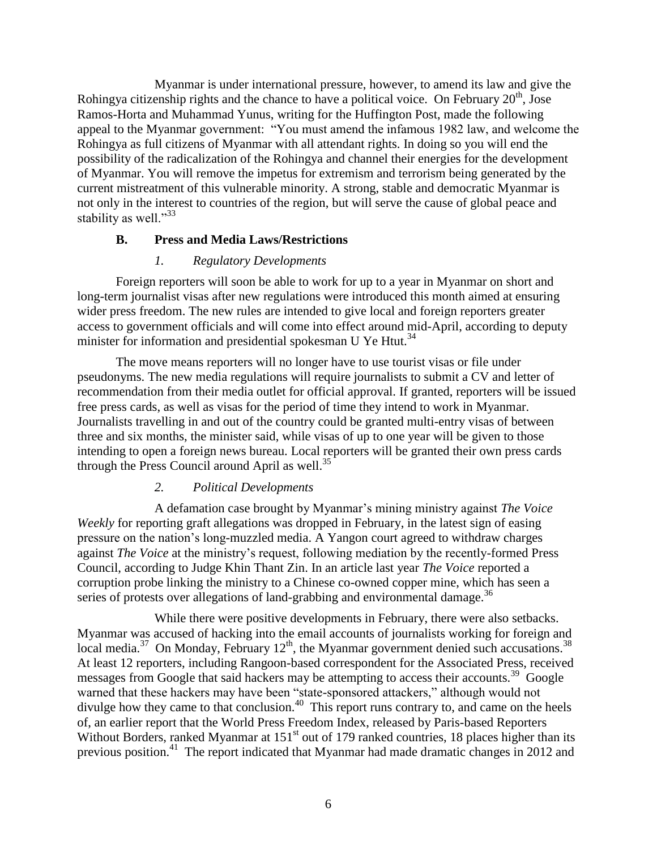Myanmar is under international pressure, however, to amend its law and give the Rohingya citizenship rights and the chance to have a political voice. On February  $20<sup>th</sup>$ , Jose Ramos-Horta and Muhammad Yunus, writing for the Huffington Post, made the following appeal to the Myanmar government: "You must amend the infamous 1982 law, and welcome the Rohingya as full citizens of Myanmar with all attendant rights. In doing so you will end the possibility of the radicalization of the Rohingya and channel their energies for the development of Myanmar. You will remove the impetus for extremism and terrorism being generated by the current mistreatment of this vulnerable minority. A strong, stable and democratic Myanmar is not only in the interest to countries of the region, but will serve the cause of global peace and stability as well."<sup>33</sup>

#### <span id="page-5-0"></span>**B. Press and Media Laws/Restrictions**

#### *1. Regulatory Developments*

<span id="page-5-1"></span>Foreign reporters will soon be able to work for up to a year in Myanmar on short and long-term journalist visas after new regulations were introduced this month aimed at ensuring wider press freedom. The new rules are intended to give local and foreign reporters greater access to government officials and will come into effect around mid-April, according to deputy minister for information and presidential spokesman U Ye Htut.<sup>34</sup>

The move means reporters will no longer have to use tourist visas or file under pseudonyms. The new media regulations will require journalists to submit a CV and letter of recommendation from their media outlet for official approval. If granted, reporters will be issued free press cards, as well as visas for the period of time they intend to work in Myanmar. Journalists travelling in and out of the country could be granted multi-entry visas of between three and six months, the minister said, while visas of up to one year will be given to those intending to open a foreign news bureau. Local reporters will be granted their own press cards through the Press Council around April as well. $^{35}$ 

# *2. Political Developments*

<span id="page-5-2"></span>A defamation case brought by Myanmar's mining ministry against *The Voice Weekly* for reporting graft allegations was dropped in February, in the latest sign of easing pressure on the nation's long-muzzled media. A Yangon court agreed to withdraw charges against *The Voice* at the ministry's request, following mediation by the recently-formed Press Council, according to Judge Khin Thant Zin. In an article last year *The Voice* reported a corruption probe linking the ministry to a Chinese co-owned copper mine, which has seen a series of protests over allegations of land-grabbing and environmental damage.<sup>36</sup>

While there were positive developments in February, there were also setbacks. Myanmar was accused of hacking into the email accounts of journalists working for foreign and local media.<sup>37</sup> On Monday, February  $12<sup>th</sup>$ , the Myanmar government denied such accusations.<sup>38</sup> At least 12 reporters, including Rangoon-based correspondent for the Associated Press, received messages from Google that said hackers may be attempting to access their accounts.<sup>39</sup> Google warned that these hackers may have been "state-sponsored attackers," although would not divulge how they came to that conclusion. $40$  This report runs contrary to, and came on the heels of, an earlier report that the World Press Freedom Index, released by Paris-based Reporters Without Borders, ranked Myanmar at 151<sup>st</sup> out of 179 ranked countries, 18 places higher than its previous position.<sup>41</sup> The report indicated that Myanmar had made dramatic changes in 2012 and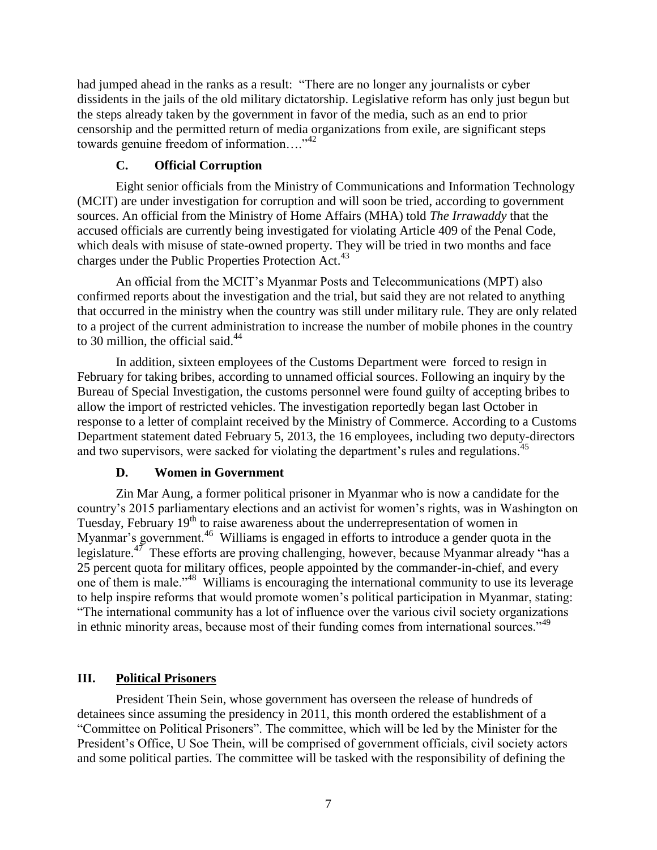had jumped ahead in the ranks as a result: "There are no longer any journalists or cyber dissidents in the jails of the old military dictatorship. Legislative reform has only just begun but the steps already taken by the government in favor of the media, such as an end to prior censorship and the permitted return of media organizations from exile, are significant steps towards genuine freedom of information...."<sup>42</sup>

# **C. Official Corruption**

<span id="page-6-0"></span>Eight senior officials from the Ministry of Communications and Information Technology (MCIT) are under investigation for corruption and will soon be tried, according to government sources. An official from the Ministry of Home Affairs (MHA) told *The Irrawaddy* that the accused officials are currently being investigated for violating Article 409 of the Penal Code, which deals with misuse of state-owned property. They will be tried in two months and face charges under the Public Properties Protection Act.<sup>43</sup>

An official from the MCIT's Myanmar Posts and Telecommunications (MPT) also confirmed reports about the investigation and the trial, but said they are not related to anything that occurred in the ministry when the country was still under military rule. They are only related to a project of the current administration to increase the number of mobile phones in the country to 30 million, the official said. $44$ 

In addition, sixteen employees of the Customs Department were forced to resign in February for taking bribes, according to unnamed official sources. Following an inquiry by the Bureau of Special Investigation, the customs personnel were found guilty of accepting bribes to allow the import of restricted vehicles. The investigation reportedly began last October in response to a letter of complaint received by the Ministry of Commerce. According to a Customs Department statement dated February 5, 2013, the 16 employees, including two deputy-directors and two supervisors, were sacked for violating the department's rules and regulations.<sup>45</sup>

# **D. Women in Government**

<span id="page-6-1"></span>Zin Mar Aung, a former political prisoner in Myanmar who is now a candidate for the country's 2015 parliamentary elections and an activist for women's rights, was in Washington on Tuesday, February 19<sup>th</sup> to raise awareness about the underrepresentation of women in Myanmar's government.<sup>46</sup> Williams is engaged in efforts to introduce a gender quota in the legislature.<sup>47</sup> These efforts are proving challenging, however, because Myanmar already "has a 25 percent quota for military offices, people appointed by the commander-in-chief, and every one of them is male."<sup>48</sup> Williams is encouraging the international community to use its leverage to help inspire reforms that would promote women's political participation in Myanmar, stating: "The international community has a lot of influence over the various civil society organizations in ethnic minority areas, because most of their funding comes from international sources."<sup>49</sup>

# <span id="page-6-2"></span>**III. Political Prisoners**

President Thein Sein, whose government has overseen the release of hundreds of detainees since assuming the presidency in 2011, this month ordered the establishment of a "Committee on Political Prisoners". The committee, which will be led by the Minister for the President's Office, U Soe Thein, will be comprised of government officials, civil society actors and some political parties. The committee will be tasked with the responsibility of defining the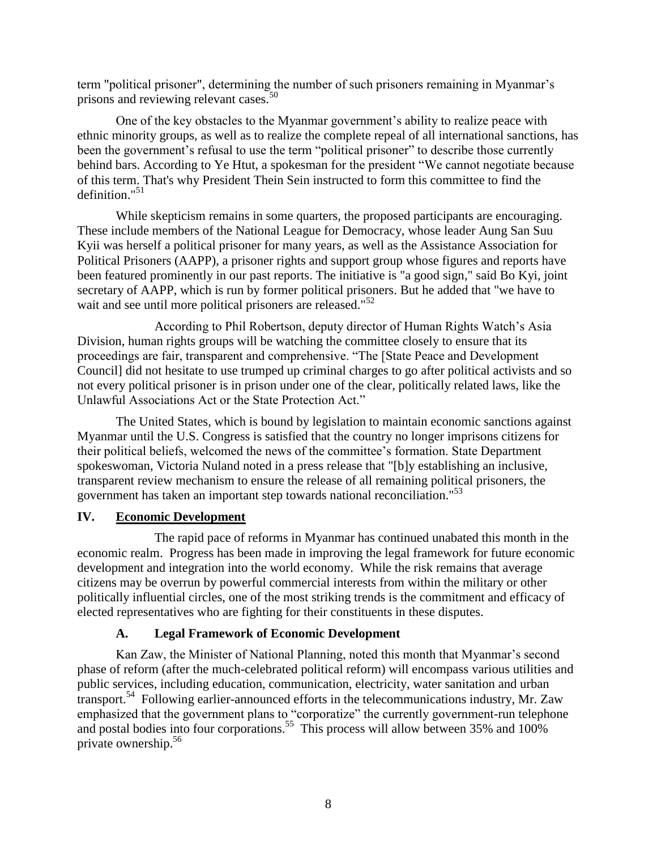term "political prisoner", determining the number of such prisoners remaining in Myanmar's prisons and reviewing relevant cases.<sup>50</sup>

One of the key obstacles to the Myanmar government's ability to realize peace with ethnic minority groups, as well as to realize the complete repeal of all international sanctions, has been the government's refusal to use the term "political prisoner" to describe those currently behind bars. According to Ye Htut, a spokesman for the president "We cannot negotiate because of this term. That's why President Thein Sein instructed to form this committee to find the definition."<sup>51</sup>

While skepticism remains in some quarters, the proposed participants are encouraging. These include members of the National League for Democracy, whose leader Aung San Suu Kyii was herself a political prisoner for many years, as well as the Assistance Association for Political Prisoners (AAPP), a prisoner rights and support group whose figures and reports have been featured prominently in our past reports. The initiative is "a good sign," said Bo Kyi, joint secretary of AAPP, which is run by former political prisoners. But he added that "we have to wait and see until more political prisoners are released."<sup>52</sup>

According to Phil Robertson, deputy director of Human Rights Watch's Asia Division, human rights groups will be watching the committee closely to ensure that its proceedings are fair, transparent and comprehensive. "The [State Peace and Development Council] did not hesitate to use trumped up criminal charges to go after political activists and so not every political prisoner is in prison under one of the clear, politically related laws, like the Unlawful Associations Act or the State Protection Act."

The United States, which is bound by legislation to maintain economic sanctions against Myanmar until the U.S. Congress is satisfied that the country no longer imprisons citizens for their political beliefs, welcomed the news of the committee's formation. State Department spokeswoman, Victoria Nuland noted in a press release that "[b]y establishing an inclusive, transparent review mechanism to ensure the release of all remaining political prisoners, the government has taken an important step towards national reconciliation."<sup>53</sup>

# <span id="page-7-0"></span>**IV. Economic Development**

The rapid pace of reforms in Myanmar has continued unabated this month in the economic realm. Progress has been made in improving the legal framework for future economic development and integration into the world economy. While the risk remains that average citizens may be overrun by powerful commercial interests from within the military or other politically influential circles, one of the most striking trends is the commitment and efficacy of elected representatives who are fighting for their constituents in these disputes.

# **A. Legal Framework of Economic Development**

<span id="page-7-1"></span>Kan Zaw, the Minister of National Planning, noted this month that Myanmar's second phase of reform (after the much-celebrated political reform) will encompass various utilities and public services, including education, communication, electricity, water sanitation and urban transport.<sup>54</sup> Following earlier-announced efforts in the telecommunications industry, Mr. Zaw emphasized that the government plans to "corporatize" the currently government-run telephone and postal bodies into four corporations.<sup>55</sup> This process will allow between 35% and 100% private ownership.<sup>56</sup>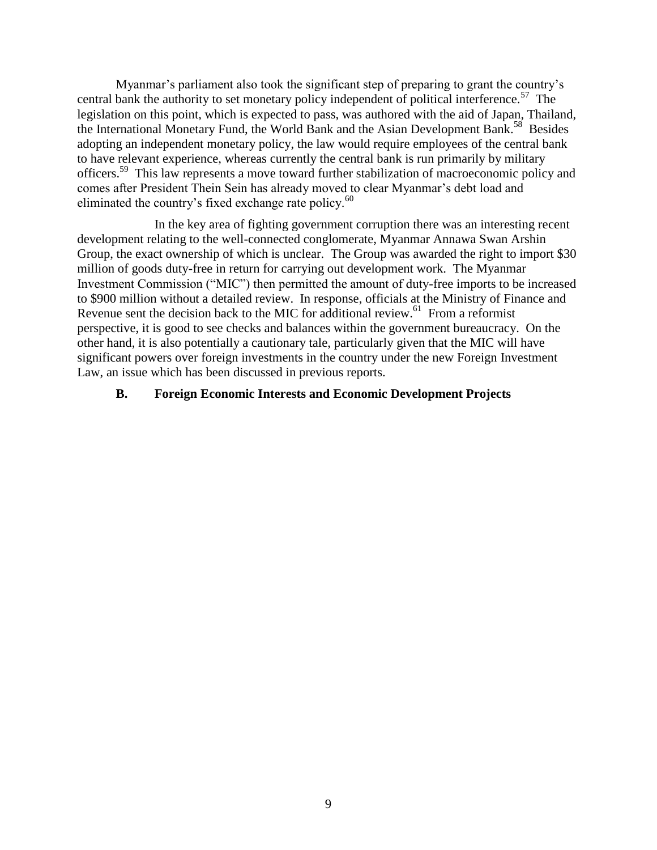Myanmar's parliament also took the significant step of preparing to grant the country's central bank the authority to set monetary policy independent of political interference.<sup>57</sup> The legislation on this point, which is expected to pass, was authored with the aid of Japan, Thailand, the International Monetary Fund, the World Bank and the Asian Development Bank.<sup>58</sup> Besides adopting an independent monetary policy, the law would require employees of the central bank to have relevant experience, whereas currently the central bank is run primarily by military officers.<sup>59</sup> This law represents a move toward further stabilization of macroeconomic policy and comes after President Thein Sein has already moved to clear Myanmar's debt load and eliminated the country's fixed exchange rate policy.<sup>60</sup>

In the key area of fighting government corruption there was an interesting recent development relating to the well-connected conglomerate, Myanmar Annawa Swan Arshin Group, the exact ownership of which is unclear. The Group was awarded the right to import \$30 million of goods duty-free in return for carrying out development work. The Myanmar Investment Commission ("MIC") then permitted the amount of duty-free imports to be increased to \$900 million without a detailed review. In response, officials at the Ministry of Finance and Revenue sent the decision back to the MIC for additional review.<sup>61</sup> From a reformist perspective, it is good to see checks and balances within the government bureaucracy. On the other hand, it is also potentially a cautionary tale, particularly given that the MIC will have significant powers over foreign investments in the country under the new Foreign Investment Law, an issue which has been discussed in previous reports.

#### <span id="page-8-0"></span>**B. Foreign Economic Interests and Economic Development Projects**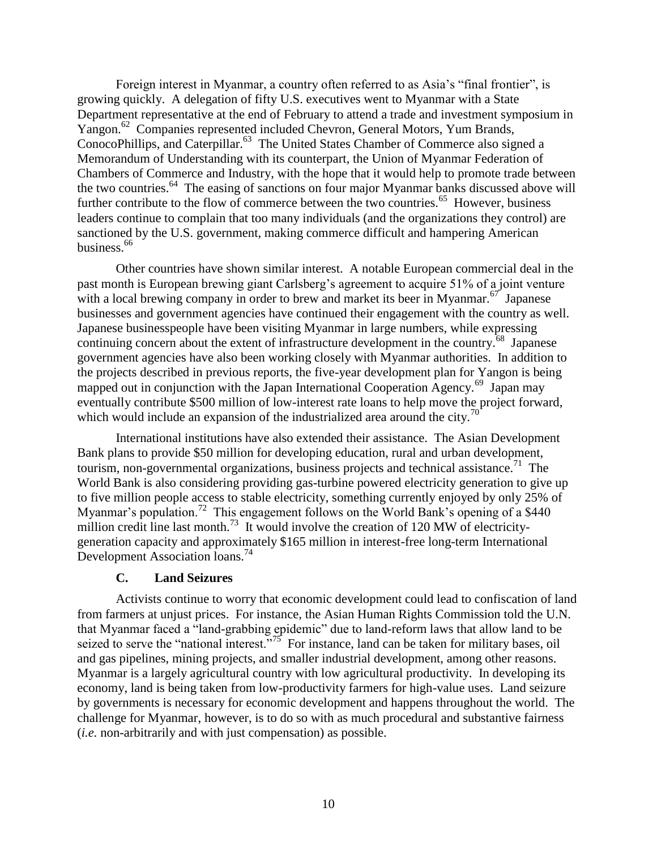<span id="page-9-0"></span>Foreign interest in Myanmar, a country often referred to as Asia's "final frontier", is growing quickly. A delegation of fifty U.S. executives went to Myanmar with a State Department representative at the end of February to attend a trade and investment symposium in Yangon.<sup>62</sup> Companies represented included Chevron, General Motors, Yum Brands, ConocoPhillips, and Caterpillar.<sup>63</sup> The United States Chamber of Commerce also signed a Memorandum of Understanding with its counterpart, the Union of Myanmar Federation of Chambers of Commerce and Industry, with the hope that it would help to promote trade between the two countries.<sup>64</sup> The easing of sanctions on four major Myanmar banks discussed above will further contribute to the flow of commerce between the two countries.<sup>65</sup> However, business leaders continue to complain that too many individuals (and the organizations they control) are sanctioned by the U.S. government, making commerce difficult and hampering American business.<sup>66</sup>

Other countries have shown similar interest. A notable European commercial deal in the past month is European brewing giant Carlsberg's agreement to acquire 51% of a joint venture with a local brewing company in order to brew and market its beer in Myanmar.<sup>67</sup> Japanese businesses and government agencies have continued their engagement with the country as well. Japanese businesspeople have been visiting Myanmar in large numbers, while expressing continuing concern about the extent of infrastructure development in the country.<sup>68</sup> Japanese government agencies have also been working closely with Myanmar authorities. In addition to the projects described in previous reports, the five-year development plan for Yangon is being mapped out in conjunction with the Japan International Cooperation Agency.<sup>69</sup> Japan may eventually contribute \$500 million of low-interest rate loans to help move the project forward, which would include an expansion of the industrialized area around the city.<sup>70</sup>

International institutions have also extended their assistance. The Asian Development Bank plans to provide \$50 million for developing education, rural and urban development, tourism, non-governmental organizations, business projects and technical assistance.<sup>71</sup> The World Bank is also considering providing gas-turbine powered electricity generation to give up to five million people access to stable electricity, something currently enjoyed by only 25% of Myanmar's population.<sup>72</sup> This engagement follows on the World Bank's opening of a \$440 million credit line last month.<sup>73</sup> It would involve the creation of 120 MW of electricitygeneration capacity and approximately \$165 million in interest-free long-term International Development Association loans.<sup>74</sup>

#### **C. Land Seizures**

<span id="page-9-1"></span>Activists continue to worry that economic development could lead to confiscation of land from farmers at unjust prices. For instance, the Asian Human Rights Commission told the U.N. that Myanmar faced a "land-grabbing epidemic" due to land-reform laws that allow land to be seized to serve the "national interest."<sup>75</sup> For instance, land can be taken for military bases, oil and gas pipelines, mining projects, and smaller industrial development, among other reasons. Myanmar is a largely agricultural country with low agricultural productivity. In developing its economy, land is being taken from low-productivity farmers for high-value uses. Land seizure by governments is necessary for economic development and happens throughout the world. The challenge for Myanmar, however, is to do so with as much procedural and substantive fairness (*i.e.* non-arbitrarily and with just compensation) as possible.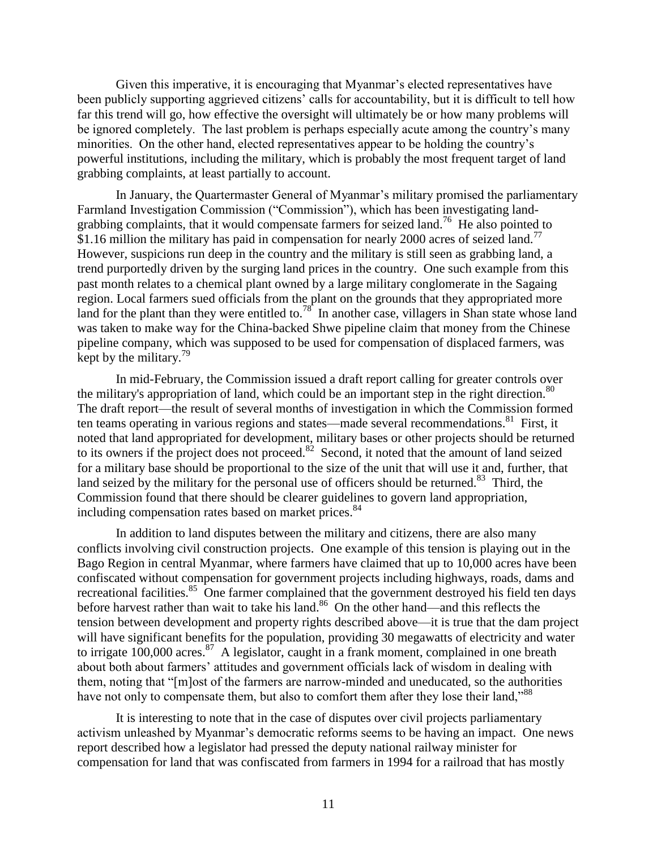Given this imperative, it is encouraging that Myanmar's elected representatives have been publicly supporting aggrieved citizens' calls for accountability, but it is difficult to tell how far this trend will go, how effective the oversight will ultimately be or how many problems will be ignored completely. The last problem is perhaps especially acute among the country's many minorities. On the other hand, elected representatives appear to be holding the country's powerful institutions, including the military, which is probably the most frequent target of land grabbing complaints, at least partially to account.

In January, the Quartermaster General of Myanmar's military promised the parliamentary Farmland Investigation Commission ("Commission"), which has been investigating landgrabbing complaints, that it would compensate farmers for seized land.<sup>76</sup> He also pointed to \$1.16 million the military has paid in compensation for nearly 2000 acres of seized land.<sup>77</sup> However, suspicions run deep in the country and the military is still seen as grabbing land, a trend purportedly driven by the surging land prices in the country. One such example from this past month relates to a chemical plant owned by a large military conglomerate in the Sagaing region. Local farmers sued officials from the plant on the grounds that they appropriated more land for the plant than they were entitled to.<sup>78</sup> In another case, villagers in Shan state whose land was taken to make way for the China-backed Shwe pipeline claim that money from the Chinese pipeline company, which was supposed to be used for compensation of displaced farmers, was kept by the military. $^{79}$ 

In mid-February, the Commission issued a draft report calling for greater controls over the military's appropriation of land, which could be an important step in the right direction.<sup>80</sup> The draft report—the result of several months of investigation in which the Commission formed ten teams operating in various regions and states—made several recommendations. $81$  First, it noted that land appropriated for development, military bases or other projects should be returned to its owners if the project does not proceed. $82$  Second, it noted that the amount of land seized for a military base should be proportional to the size of the unit that will use it and, further, that land seized by the military for the personal use of officers should be returned.<sup>83</sup> Third, the Commission found that there should be clearer guidelines to govern land appropriation, including compensation rates based on market prices. 84

In addition to land disputes between the military and citizens, there are also many conflicts involving civil construction projects. One example of this tension is playing out in the Bago Region in central Myanmar, where farmers have claimed that up to 10,000 acres have been confiscated without compensation for government projects including highways, roads, dams and recreational facilities.<sup>85</sup> One farmer complained that the government destroyed his field ten days before harvest rather than wait to take his land.<sup>86</sup> On the other hand—and this reflects the tension between development and property rights described above—it is true that the dam project will have significant benefits for the population, providing 30 megawatts of electricity and water to irrigate  $100,000$  acres.<sup>87</sup> A legislator, caught in a frank moment, complained in one breath about both about farmers' attitudes and government officials lack of wisdom in dealing with them, noting that "[m]ost of the farmers are narrow-minded and uneducated, so the authorities have not only to compensate them, but also to comfort them after they lose their land,"<sup>88</sup>

It is interesting to note that in the case of disputes over civil projects parliamentary activism unleashed by Myanmar's democratic reforms seems to be having an impact. One news report described how a legislator had pressed the deputy national railway minister for compensation for land that was confiscated from farmers in 1994 for a railroad that has mostly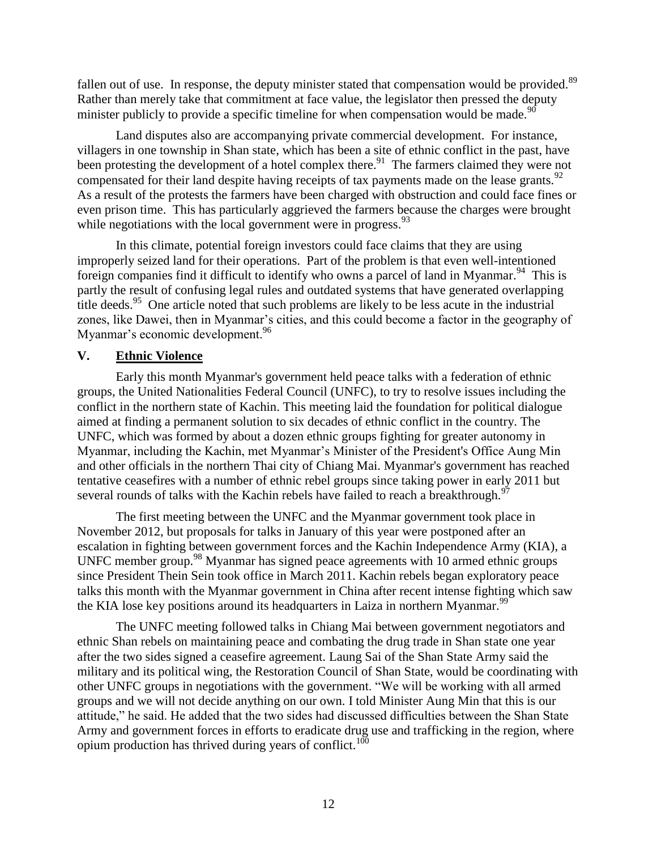fallen out of use. In response, the deputy minister stated that compensation would be provided.<sup>89</sup> Rather than merely take that commitment at face value, the legislator then pressed the deputy minister publicly to provide a specific timeline for when compensation would be made.<sup>90</sup>

Land disputes also are accompanying private commercial development. For instance, villagers in one township in Shan state, which has been a site of ethnic conflict in the past, have been protesting the development of a hotel complex there.<sup>91</sup> The farmers claimed they were not compensated for their land despite having receipts of tax payments made on the lease grants.<sup>92</sup> As a result of the protests the farmers have been charged with obstruction and could face fines or even prison time. This has particularly aggrieved the farmers because the charges were brought while negotiations with the local government were in progress.<sup>93</sup>

In this climate, potential foreign investors could face claims that they are using improperly seized land for their operations. Part of the problem is that even well-intentioned foreign companies find it difficult to identify who owns a parcel of land in Myanmar.<sup>94</sup> This is partly the result of confusing legal rules and outdated systems that have generated overlapping title deeds.<sup>95</sup> One article noted that such problems are likely to be less acute in the industrial zones, like Dawei, then in Myanmar's cities, and this could become a factor in the geography of Myanmar's economic development.<sup>96</sup>

#### <span id="page-11-0"></span>**V. Ethnic Violence**

Early this month Myanmar's government held peace talks with a federation of ethnic groups, the United Nationalities Federal Council (UNFC), to try to resolve issues including the conflict in the northern state of Kachin. This meeting laid the foundation for political dialogue aimed at finding a permanent solution to six decades of ethnic conflict in the country. The UNFC, which was formed by about a dozen ethnic groups fighting for greater autonomy in Myanmar, including the Kachin, met Myanmar's Minister of the President's Office Aung Min and other officials in the northern Thai city of Chiang Mai. Myanmar's government has reached tentative ceasefires with a number of ethnic rebel groups since taking power in early 2011 but several rounds of talks with the Kachin rebels have failed to reach a breakthrough.<sup>97</sup>

The first meeting between the UNFC and the Myanmar government took place in November 2012, but proposals for talks in January of this year were postponed after an escalation in fighting between government forces and the Kachin Independence Army (KIA), a UNFC member group.<sup>98</sup> Myanmar has signed peace agreements with  $10$  armed ethnic groups since President Thein Sein took office in March 2011. Kachin rebels began exploratory peace talks this month with the Myanmar government in China after recent intense fighting which saw the KIA lose key positions around its headquarters in Laiza in northern Myanmar.<sup>99</sup>

The UNFC meeting followed talks in Chiang Mai between government negotiators and ethnic Shan rebels on maintaining peace and combating the drug trade in Shan state one year after the two sides signed a ceasefire agreement. Laung Sai of the Shan State Army said the military and its political wing, the Restoration Council of Shan State, would be coordinating with other UNFC groups in negotiations with the government. "We will be working with all armed groups and we will not decide anything on our own. I told Minister Aung Min that this is our attitude," he said. He added that the two sides had discussed difficulties between the Shan State Army and government forces in efforts to eradicate drug use and trafficking in the region, where opium production has thrived during years of conflict.<sup>100</sup>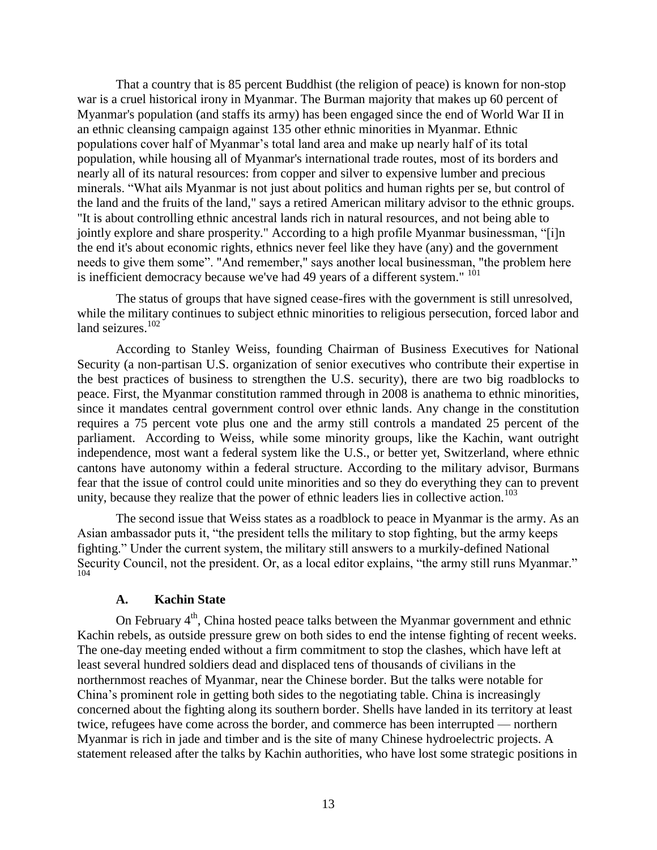That a country that is 85 percent [Buddhist](http://www.asean-china-center.org/english/2010-07/12/c_13395853.htm) (the religion of peace) is known for non-stop war is a cruel historical irony in Myanmar. The Burman majority that makes up 60 percent of Myanmar's population (and staffs its army) has been engaged since the end of World War II in an [ethnic cleansing campaign](http://www.irrawaddy.org/archives/17619) against 135 other ethnic minorities in Myanmar. Ethnic populations cover half of Myanmar's total land area and make up nearly half of its total population, while housing all of Myanmar's international trade routes, most of its borders and nearly all of its natural resources: from copper and silver to expensive lumber and precious minerals. "What ails Myanmar is not just about politics and human rights per se, but control of the land and the fruits of the land," says a retired American military advisor to the ethnic groups. "It is about controlling ethnic ancestral lands rich in natural resources, and not being able to jointly explore and share prosperity." According to a high profile Myanmar businessman, "[i]n the end it's about economic rights, ethnics never feel like they have (any) and the government needs to give them some". "And remember," says another local businessman, "the problem here is inefficient democracy because we've had 49 years of a different system."  $101$ 

The status of groups that have signed cease-fires with the government is still unresolved, while the military continues to subject ethnic minorities to religious persecution, forced labor and land seizures. $102$ 

According to Stanley Weiss, founding Chairman of Business Executives for National Security (a non-partisan U.S. organization of senior executives who contribute their expertise in the best practices of business to strengthen the U.S. security), there are two big roadblocks to peace. First, the Myanmar [constitution](http://www.dvb.no/about-elections/major-flaws-in-the-2008-constitution/7964) rammed through in 2008 is anathema to ethnic minorities, since it mandates central government control over ethnic lands. Any change in the constitution requires a 75 percent vote plus one and the army still controls a mandated 25 percent of the parliament. According to Weiss, while some minority groups, like the Kachin, want outright independence, most want a federal system like the U.S., or better yet, [Switzerland,](http://www.forumfed.org/libdocs/IntConfFed02/ICFE0208-ch-Koller.pdf) where ethnic cantons have autonomy within a federal structure. According to the military advisor, Burmans fear that the issue of control could unite minorities and so they do everything they can to prevent unity, because they realize that the power of ethnic leaders lies in collective action.<sup>103</sup>

The second issue that Weiss states as a roadblock to peace in Myanmar is the army. As an Asian ambassador puts it, "the president tells the military to stop fighting, but the army keeps [fighting.](http://asiancorrespondent.com/95747/burma-announces-end-of-kachin-war-after-seizing-more-areas/)" Under the current system, the military still answers to a murkily-defined National Security Council, not the president. Or, as a local editor explains, "the army still runs Myanmar." 104

#### **A. Kachin State**

<span id="page-12-0"></span>On February  $4<sup>th</sup>$ , [China](http://topics.nytimes.com/top/news/international/countriesandterritories/china/index.html?inline=nyt-geo) hosted peace talks between the [Myanmar](http://topics.nytimes.com/top/news/international/countriesandterritories/myanmar/index.html?inline=nyt-geo) government and ethnic Kachin rebels, as outside pressure grew on both sides to end the intense fighting of recent weeks. The one-day meeting ended without a firm commitment to stop the clashes, which have left at least several hundred soldiers dead and displaced tens of thousands of civilians in the northernmost reaches of Myanmar, near the Chinese border. But the talks were notable for China's prominent role in getting both sides to the negotiating table. China is increasingly concerned about the fighting along its southern border. Shells have landed in its territory at least twice, refugees have come across the border, and commerce has been interrupted — northern Myanmar is rich in jade and timber and is the site of many Chinese [hydroelectric](http://topics.nytimes.com/top/reference/timestopics/subjects/h/hydroelectric_power/index.html?inline=nyt-classifier) projects. A statement released after the talks by Kachin authorities, who have lost some strategic positions in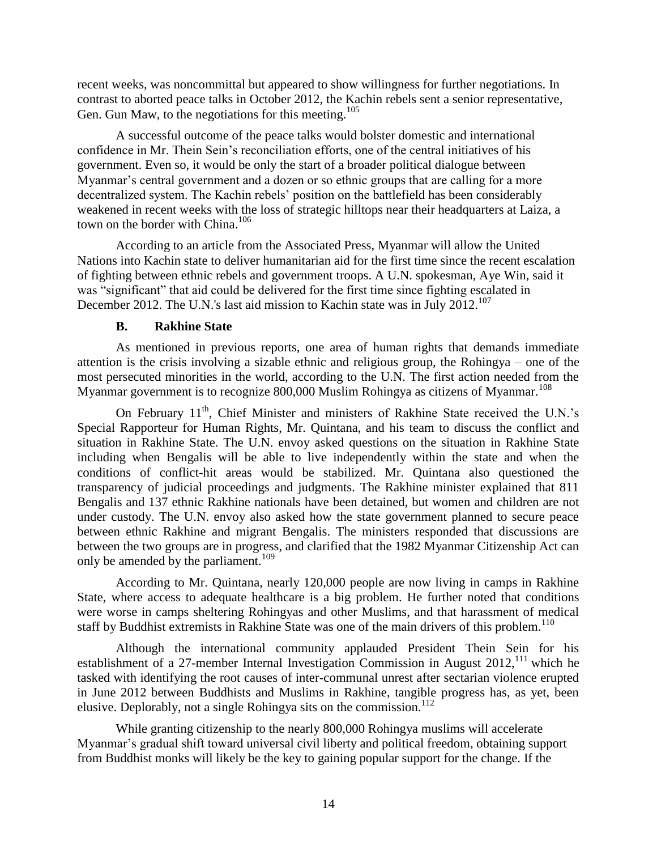recent weeks, was noncommittal but appeared to show willingness for further negotiations. In contrast to aborted peace talks in October 2012, the Kachin rebels sent a senior representative, Gen. Gun Maw, to the negotiations for this meeting.<sup>105</sup>

A successful outcome of the peace talks would bolster domestic and international confidence in Mr. Thein Sein's reconciliation efforts, one of the central initiatives of his government. Even so, it would be only the start of a broader political dialogue between Myanmar's central government and a dozen or so ethnic groups that are calling for a more decentralized system. The Kachin rebels' position on the battlefield has been considerably weakened in recent weeks with the loss of strategic hilltops near their headquarters at Laiza, a town on the border with China.<sup>106</sup>

According to an article from the Associated Press, Myanmar will allow the United Nations into Kachin state to deliver humanitarian aid for the first time since the recent escalation of fighting between ethnic rebels and government troops. A U.N. spokesman, Aye Win, said it was "significant" that aid could be delivered for the first time since fighting escalated in December 2012. The U.N.'s last aid mission to Kachin state was in July  $2012$ <sup>107</sup>

#### **B. Rakhine State**

<span id="page-13-0"></span>As mentioned in previous reports, one area of human rights that demands immediate attention is the crisis involving a sizable ethnic and religious group, the Rohingya – one of the most persecuted minorities in the world, according to the U.N. The first action needed from the Myanmar government is to recognize 800,000 Muslim Rohingya as citizens of Myanmar.<sup>108</sup>

On February  $11<sup>th</sup>$ , Chief Minister and ministers of Rakhine State received the U.N.'s Special Rapporteur for Human Rights, Mr. Quintana, and his team to discuss the conflict and situation in Rakhine State. The U.N. envoy asked questions on the situation in Rakhine State including when Bengalis will be able to live independently within the state and when the conditions of conflict-hit areas would be stabilized. Mr. Quintana also questioned the transparency of judicial proceedings and judgments. The Rakhine minister explained that 811 Bengalis and 137 ethnic Rakhine nationals have been detained, but women and children are not under custody. The U.N. envoy also asked how the state government planned to secure peace between ethnic Rakhine and migrant Bengalis. The ministers responded that discussions are between the two groups are in progress, and clarified that the 1982 Myanmar Citizenship Act can only be amended by the parliament.<sup>109</sup>

According to Mr. Quintana, nearly 120,000 people are now living in camps in Rakhine State, where access to adequate healthcare is a big problem. He further noted that conditions were worse in camps sheltering Rohingyas and other Muslims, and that harassment of medical staff by Buddhist extremists in Rakhine State was one of the main drivers of this problem.<sup>110</sup>

Although the international community applauded President Thein Sein for his establishment of a 27-member Internal Investigation Commission in August  $2012$ ,  $^{111}$  which he tasked with identifying the root causes of inter-communal unrest after sectarian violence erupted in June 2012 between Buddhists and Muslims in Rakhine, tangible progress has, as yet, been elusive. Deplorably, not a single Rohingya sits on the commission.<sup>112</sup>

While granting citizenship to the nearly 800,000 Rohingya muslims will accelerate Myanmar's gradual shift toward universal civil liberty and political freedom, obtaining support from Buddhist monks will likely be the key to gaining popular support for the change. If the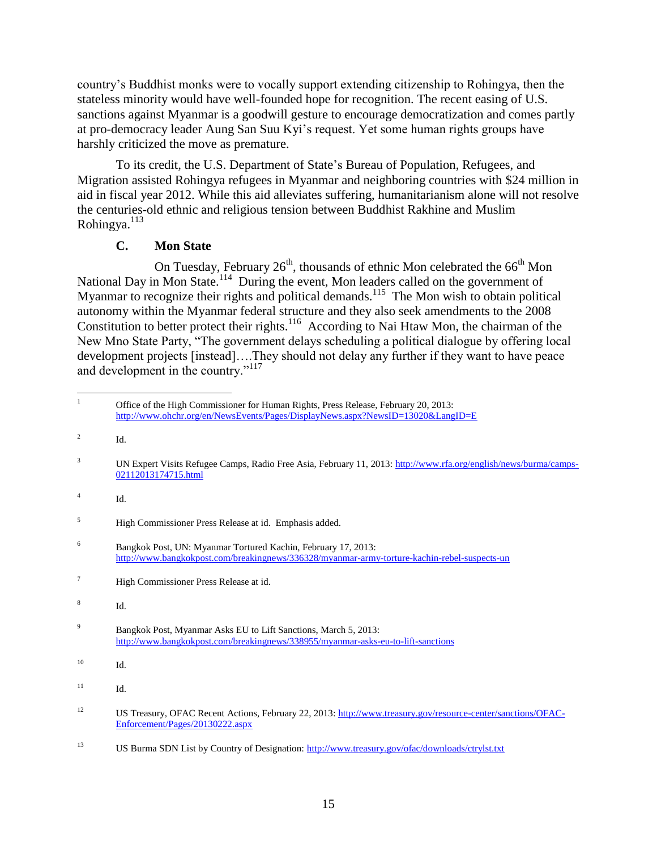country's Buddhist monks were to vocally support extending citizenship to Rohingya, then the stateless minority would have well-founded hope for recognition. The recent easing of U.S. sanctions against Myanmar is a goodwill gesture to encourage democratization and comes partly at pro-democracy leader [Aung San Suu Kyi'](http://www.csmonitor.com/tags/topic/Aung+San+Suu+Kyi)s request. Yet some human rights groups have harshly criticized the move as premature.

To its credit, the [U.S. Department of State'](http://www.csmonitor.com/tags/topic/U.S.+Department+of+State)s [Bureau of Population, Refugees, and](http://www.csmonitor.com/tags/topic/U.S.+State+Department+Bureau+of+Population%2c+Refugees%2c+and+Migration)  [Migration](http://www.csmonitor.com/tags/topic/U.S.+State+Department+Bureau+of+Population%2c+Refugees%2c+and+Migration) assisted Rohingya refugees in Myanmar and neighboring countries with \$24 million in aid in fiscal year 2012. While this aid alleviates suffering, humanitarianism alone will not resolve the centuries-old ethnic and religious tension between Buddhist Rakhine and Muslim Rohingya. $^{113}$ 

# **C. Mon State**

<span id="page-14-0"></span>On Tuesday, February  $26<sup>th</sup>$ , thousands of ethnic Mon celebrated the  $66<sup>th</sup>$  Mon National Day in Mon State.<sup>114</sup> During the event, Mon leaders called on the government of Myanmar to recognize their rights and political demands.<sup>115</sup> The Mon wish to obtain political autonomy within the Myanmar federal structure and they also seek amendments to the 2008 Constitution to better protect their rights.<sup>116</sup> According to Nai Htaw Mon, the chairman of the New Mno State Party, "The government delays scheduling a political dialogue by offering local development projects [instead]….They should not delay any further if they want to have peace and development in the country."<sup>117</sup>

2 Id.

4 Id.

 $\mathbf{1}$ <sup>1</sup> Office of the High Commissioner for Human Rights, Press Release, February 20, 2013: <http://www.ohchr.org/en/NewsEvents/Pages/DisplayNews.aspx?NewsID=13020&LangID=E>

<sup>&</sup>lt;sup>3</sup> UN Expert Visits Refugee Camps, Radio Free Asia, February 11, 2013[: http://www.rfa.org/english/news/burma/camps-](http://www.rfa.org/english/news/burma/camps-02112013174715.html)[02112013174715.html](http://www.rfa.org/english/news/burma/camps-02112013174715.html)

<sup>5</sup> High Commissioner Press Release at id. Emphasis added.

<sup>6</sup> Bangkok Post, UN: Myanmar Tortured Kachin, February 17, 2013: <http://www.bangkokpost.com/breakingnews/336328/myanmar-army-torture-kachin-rebel-suspects-un>

<sup>7</sup> High Commissioner Press Release at id.

<sup>8</sup> Id.

Bangkok Post, Myanmar Asks EU to Lift Sanctions, March 5, 2013: <http://www.bangkokpost.com/breakingnews/338955/myanmar-asks-eu-to-lift-sanctions>

<sup>10</sup> Id.

 $11$  Id.

<sup>&</sup>lt;sup>12</sup> US Treasury, OFAC Recent Actions, February 22, 2013[: http://www.treasury.gov/resource-center/sanctions/OFAC-](http://www.treasury.gov/resource-center/sanctions/OFAC-Enforcement/Pages/20130222.aspx)[Enforcement/Pages/20130222.aspx](http://www.treasury.gov/resource-center/sanctions/OFAC-Enforcement/Pages/20130222.aspx)

<sup>13</sup> US Burma SDN List by Country of Designation:<http://www.treasury.gov/ofac/downloads/ctrylst.txt>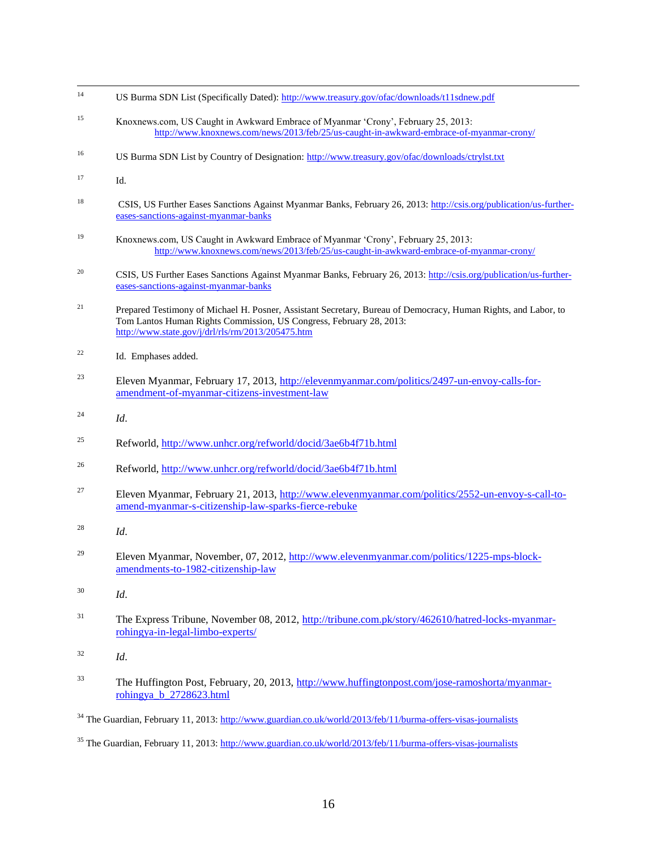| 14                                                                                                                        | US Burma SDN List (Specifically Dated): http://www.treasury.gov/ofac/downloads/t11sdnew.pdf                                                                                                                                                |  |
|---------------------------------------------------------------------------------------------------------------------------|--------------------------------------------------------------------------------------------------------------------------------------------------------------------------------------------------------------------------------------------|--|
| 15                                                                                                                        | Knoxnews.com, US Caught in Awkward Embrace of Myanmar 'Crony', February 25, 2013:<br>http://www.knoxnews.com/news/2013/feb/25/us-caught-in-awkward-embrace-of-myanmar-crony/                                                               |  |
| 16                                                                                                                        | US Burma SDN List by Country of Designation: http://www.treasury.gov/ofac/downloads/ctrylst.txt                                                                                                                                            |  |
| 17                                                                                                                        | Id.                                                                                                                                                                                                                                        |  |
| 18                                                                                                                        | CSIS, US Further Eases Sanctions Against Myanmar Banks, February 26, 2013: http://csis.org/publication/us-further-<br>eases-sanctions-against-myanmar-banks                                                                                |  |
| 19                                                                                                                        | Knoxnews.com, US Caught in Awkward Embrace of Myanmar 'Crony', February 25, 2013:<br>http://www.knoxnews.com/news/2013/feb/25/us-caught-in-awkward-embrace-of-myanmar-crony/                                                               |  |
| 20                                                                                                                        | CSIS, US Further Eases Sanctions Against Myanmar Banks, February 26, 2013: http://csis.org/publication/us-further-<br>eases-sanctions-against-myanmar-banks                                                                                |  |
| 21                                                                                                                        | Prepared Testimony of Michael H. Posner, Assistant Secretary, Bureau of Democracy, Human Rights, and Labor, to<br>Tom Lantos Human Rights Commission, US Congress, February 28, 2013:<br>http://www.state.gov/j/drl/rls/rm/2013/205475.htm |  |
| 22                                                                                                                        | Id. Emphases added.                                                                                                                                                                                                                        |  |
| 23                                                                                                                        | Eleven Myanmar, February 17, 2013, http://elevenmyanmar.com/politics/2497-un-envoy-calls-for-<br>amendment-of-myanmar-citizens-investment-law                                                                                              |  |
| 24                                                                                                                        | Id.                                                                                                                                                                                                                                        |  |
| 25                                                                                                                        | Refworld, http://www.unhcr.org/refworld/docid/3ae6b4f71b.html                                                                                                                                                                              |  |
| 26                                                                                                                        | Refworld, http://www.unhcr.org/refworld/docid/3ae6b4f71b.html                                                                                                                                                                              |  |
| 27                                                                                                                        | Eleven Myanmar, February 21, 2013, http://www.elevenmyanmar.com/politics/2552-un-envoy-s-call-to-<br>amend-myanmar-s-citizenship-law-sparks-fierce-rebuke                                                                                  |  |
| 28                                                                                                                        | Id.                                                                                                                                                                                                                                        |  |
| 29                                                                                                                        | Eleven Myanmar, November, 07, 2012, http://www.elevenmyanmar.com/politics/1225-mps-block-<br>amendments-to-1982-citizenship-law                                                                                                            |  |
| 30                                                                                                                        | Id.                                                                                                                                                                                                                                        |  |
| 31                                                                                                                        | The Express Tribune, November 08, 2012, http://tribune.com.pk/story/462610/hatred-locks-myanmar-<br>rohingya-in-legal-limbo-experts/                                                                                                       |  |
| 32                                                                                                                        | Id.                                                                                                                                                                                                                                        |  |
| 33                                                                                                                        | The Huffington Post, February, 20, 2013, http://www.huffingtonpost.com/jose-ramoshorta/myanmar-<br>rohingya_b_2728623.html                                                                                                                 |  |
| <sup>34</sup> The Guardian, February 11, 2013: http://www.guardian.co.uk/world/2013/feb/11/burma-offers-visas-journalists |                                                                                                                                                                                                                                            |  |
| <sup>35</sup> The Guardian, February 11, 2013: http://www.guardian.co.uk/world/2013/feb/11/burma-offers-visas-journalists |                                                                                                                                                                                                                                            |  |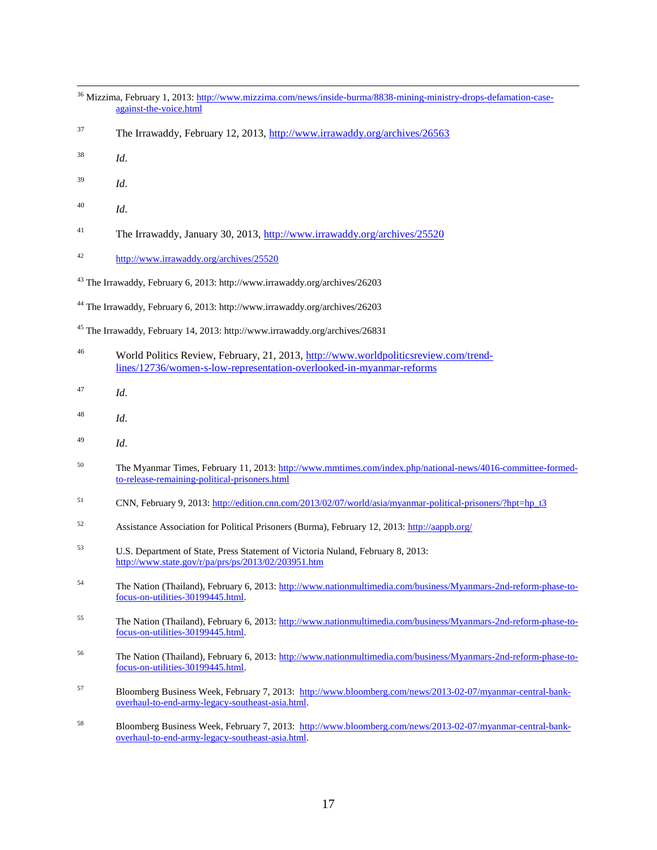|                                                                                        | <sup>36</sup> Mizzima, February 1, 2013: http://www.mizzima.com/news/inside-burma/8838-mining-ministry-drops-defamation-case-<br>against-the-voice.html |  |
|----------------------------------------------------------------------------------------|---------------------------------------------------------------------------------------------------------------------------------------------------------|--|
| 37                                                                                     | The Irrawaddy, February 12, 2013, http://www.irrawaddy.org/archives/26563                                                                               |  |
| 38                                                                                     | Id.                                                                                                                                                     |  |
| 39                                                                                     | Id.                                                                                                                                                     |  |
| 40                                                                                     | Id.                                                                                                                                                     |  |
| 41                                                                                     | The Irrawaddy, January 30, 2013, http://www.irrawaddy.org/archives/25520                                                                                |  |
| 42                                                                                     | http://www.irrawaddy.org/archives/25520                                                                                                                 |  |
| <sup>43</sup> The Irrawaddy, February 6, 2013: http://www.irrawaddy.org/archives/26203 |                                                                                                                                                         |  |
| <sup>44</sup> The Irrawaddy, February 6, 2013: http://www.irrawaddy.org/archives/26203 |                                                                                                                                                         |  |

<sup>45</sup> The Irrawaddy, February 14, 2013: http://www.irrawaddy.org/archives/26831

- <sup>46</sup> World Politics Review, February, 21, 2013, [http://www.worldpoliticsreview.com/trend](http://www.worldpoliticsreview.com/trend-lines/12736/women-s-low-representation-overlooked-in-myanmar-reforms)[lines/12736/women-s-low-representation-overlooked-in-myanmar-reforms](http://www.worldpoliticsreview.com/trend-lines/12736/women-s-low-representation-overlooked-in-myanmar-reforms)
- <sup>47</sup> *Id*.

 $\overline{a}$ 

- <sup>48</sup> *Id*.
- <sup>49</sup> *Id*.
- <sup>50</sup> The Myanmar Times, February 11, 2013[: http://www.mmtimes.com/index.php/national-news/4016-committee-formed](http://www.mmtimes.com/index.php/national-news/4016-committee-formed-to-release-remaining-political-prisoners.html)[to-release-remaining-political-prisoners.html](http://www.mmtimes.com/index.php/national-news/4016-committee-formed-to-release-remaining-political-prisoners.html)
- <sup>51</sup> CNN, February 9, 2013: [http://edition.cnn.com/2013/02/07/world/asia/myanmar-political-prisoners/?hpt=hp\\_t3](http://edition.cnn.com/2013/02/07/world/asia/myanmar-political-prisoners/?hpt=hp_t3)
- <sup>52</sup> Assistance Association for Political Prisoners (Burma), February 12, 2013:<http://aappb.org/>
- <sup>53</sup> U.S. Department of State, Press Statement of Victoria Nuland, February 8, 2013: <http://www.state.gov/r/pa/prs/ps/2013/02/203951.htm>
- <sup>54</sup> The Nation (Thailand), February 6, 2013: [http://www.nationmultimedia.com/business/Myanmars-2nd-reform-phase-to](http://www.nationmultimedia.com/business/Myanmars-2nd-reform-phase-to-focus-on-utilities-30199445.html)[focus-on-utilities-30199445.html.](http://www.nationmultimedia.com/business/Myanmars-2nd-reform-phase-to-focus-on-utilities-30199445.html)
- <sup>55</sup> The Nation (Thailand), February 6, 2013: [http://www.nationmultimedia.com/business/Myanmars-2nd-reform-phase-to](http://www.nationmultimedia.com/business/Myanmars-2nd-reform-phase-to-focus-on-utilities-30199445.html)[focus-on-utilities-30199445.html.](http://www.nationmultimedia.com/business/Myanmars-2nd-reform-phase-to-focus-on-utilities-30199445.html)
- <sup>56</sup> The Nation (Thailand), February 6, 2013: [http://www.nationmultimedia.com/business/Myanmars-2nd-reform-phase-to](http://www.nationmultimedia.com/business/Myanmars-2nd-reform-phase-to-focus-on-utilities-30199445.html)[focus-on-utilities-30199445.html.](http://www.nationmultimedia.com/business/Myanmars-2nd-reform-phase-to-focus-on-utilities-30199445.html)
- <sup>57</sup> Bloomberg Business Week, February 7, 2013: [http://www.bloomberg.com/news/2013-02-07/myanmar-central-bank](http://www.bloomberg.com/news/2013-02-07/myanmar-central-bank-overhaul-to-end-army-legacy-southeast-asia.html)[overhaul-to-end-army-legacy-southeast-asia.html.](http://www.bloomberg.com/news/2013-02-07/myanmar-central-bank-overhaul-to-end-army-legacy-southeast-asia.html)
- <sup>58</sup> Bloomberg Business Week, February 7, 2013: [http://www.bloomberg.com/news/2013-02-07/myanmar-central-bank](http://www.bloomberg.com/news/2013-02-07/myanmar-central-bank-overhaul-to-end-army-legacy-southeast-asia.html)[overhaul-to-end-army-legacy-southeast-asia.html.](http://www.bloomberg.com/news/2013-02-07/myanmar-central-bank-overhaul-to-end-army-legacy-southeast-asia.html)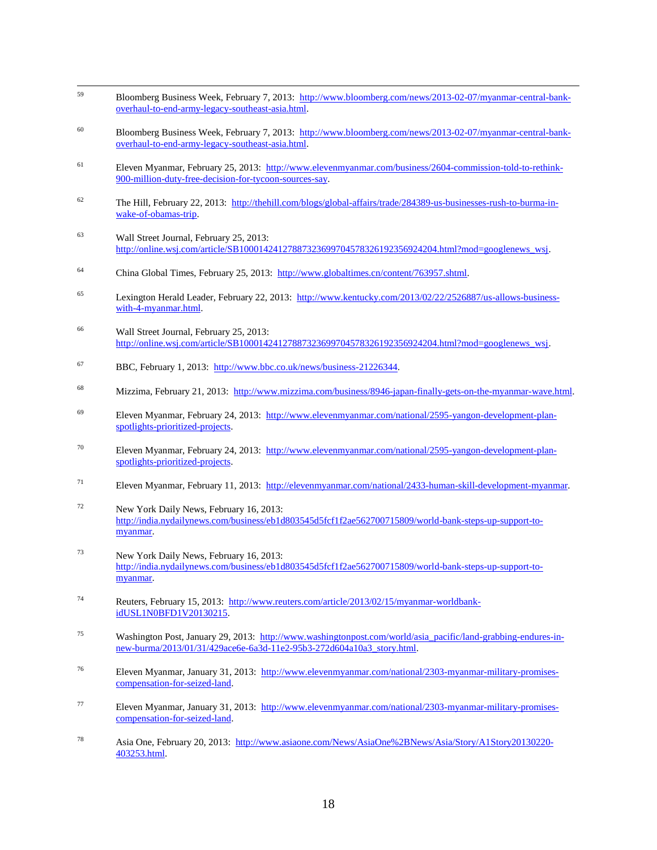- 59 <sup>59</sup> Bloomberg Business Week, February 7, 2013: [http://www.bloomberg.com/news/2013-02-07/myanmar-central-bank](http://www.bloomberg.com/news/2013-02-07/myanmar-central-bank-overhaul-to-end-army-legacy-southeast-asia.html)[overhaul-to-end-army-legacy-southeast-asia.html.](http://www.bloomberg.com/news/2013-02-07/myanmar-central-bank-overhaul-to-end-army-legacy-southeast-asia.html)
- <sup>60</sup> Bloomberg Business Week, February 7, 2013: [http://www.bloomberg.com/news/2013-02-07/myanmar-central-bank](http://www.bloomberg.com/news/2013-02-07/myanmar-central-bank-overhaul-to-end-army-legacy-southeast-asia.html)[overhaul-to-end-army-legacy-southeast-asia.html.](http://www.bloomberg.com/news/2013-02-07/myanmar-central-bank-overhaul-to-end-army-legacy-southeast-asia.html)
- <sup>61</sup> Eleven Myanmar, February 25, 2013: [http://www.elevenmyanmar.com/business/2604-commission-told-to-rethink-](http://www.elevenmyanmar.com/business/2604-commission-told-to-rethink-900-million-duty-free-decision-for-tycoon-sources-say)[900-million-duty-free-decision-for-tycoon-sources-say.](http://www.elevenmyanmar.com/business/2604-commission-told-to-rethink-900-million-duty-free-decision-for-tycoon-sources-say)
- $62$  The Hill, February 22, 2013: [http://thehill.com/blogs/global-affairs/trade/284389-us-businesses-rush-to-burma-in](http://thehill.com/blogs/global-affairs/trade/284389-us-businesses-rush-to-burma-in-wake-of-obamas-trip)[wake-of-obamas-trip.](http://thehill.com/blogs/global-affairs/trade/284389-us-businesses-rush-to-burma-in-wake-of-obamas-trip)
- <sup>63</sup> Wall Street Journal, February 25, 2013: http://online.wsj.com/article/SB10001424127887323699704578326192356924204.html?mod=googlenews\_wsj.
- <sup>64</sup> China Global Times, February 25, 2013: [http://www.globaltimes.cn/content/763957.shtml.](http://www.globaltimes.cn/content/763957.shtml)
- <sup>65</sup> Lexington Herald Leader, February 22, 2013: [http://www.kentucky.com/2013/02/22/2526887/us-allows-business](http://www.kentucky.com/2013/02/22/2526887/us-allows-business-with-4-myanmar.html)[with-4-myanmar.html.](http://www.kentucky.com/2013/02/22/2526887/us-allows-business-with-4-myanmar.html)
- <sup>66</sup> Wall Street Journal, February 25, 2013: http://online.wsj.com/article/SB10001424127887323699704578326192356924204.html?mod=googlenews\_wsj.
- <sup>67</sup> BBC, February 1, 2013: [http://www.bbc.co.uk/news/business-21226344.](http://www.bbc.co.uk/news/business-21226344)
- <sup>68</sup> Mizzima, February 21, 2013: [http://www.mizzima.com/business/8946-japan-finally-gets-on-the-myanmar-wave.html.](http://www.mizzima.com/business/8946-japan-finally-gets-on-the-myanmar-wave.html)
- <sup>69</sup> Eleven Myanmar, February 24, 2013: [http://www.elevenmyanmar.com/national/2595-yangon-development-plan](http://www.elevenmyanmar.com/national/2595-yangon-development-plan-spotlights-prioritized-projects)[spotlights-prioritized-projects.](http://www.elevenmyanmar.com/national/2595-yangon-development-plan-spotlights-prioritized-projects)
- <sup>70</sup> Eleven Myanmar, February 24, 2013: [http://www.elevenmyanmar.com/national/2595-yangon-development-plan](http://www.elevenmyanmar.com/national/2595-yangon-development-plan-spotlights-prioritized-projects)[spotlights-prioritized-projects.](http://www.elevenmyanmar.com/national/2595-yangon-development-plan-spotlights-prioritized-projects)
- <sup>71</sup> Eleven Myanmar, February 11, 2013: [http://elevenmyanmar.com/national/2433-human-skill-development-myanmar.](http://elevenmyanmar.com/national/2433-human-skill-development-myanmar)
- <sup>72</sup> New York Daily News, February 16, 2013: [http://india.nydailynews.com/business/eb1d803545d5fcf1f2ae562700715809/world-bank-steps-up-support-to](http://india.nydailynews.com/business/eb1d803545d5fcf1f2ae562700715809/world-bank-steps-up-support-to-myanmar)[myanmar.](http://india.nydailynews.com/business/eb1d803545d5fcf1f2ae562700715809/world-bank-steps-up-support-to-myanmar)
- <sup>73</sup> New York Daily News, February 16, 2013: [http://india.nydailynews.com/business/eb1d803545d5fcf1f2ae562700715809/world-bank-steps-up-support-to](http://india.nydailynews.com/business/eb1d803545d5fcf1f2ae562700715809/world-bank-steps-up-support-to-myanmar)[myanmar.](http://india.nydailynews.com/business/eb1d803545d5fcf1f2ae562700715809/world-bank-steps-up-support-to-myanmar)
- <sup>74</sup> Reuters, February 15, 2013: [http://www.reuters.com/article/2013/02/15/myanmar-worldbank](http://www.reuters.com/article/2013/02/15/myanmar-worldbank-idUSL1N0BFD1V20130215)[idUSL1N0BFD1V20130215.](http://www.reuters.com/article/2013/02/15/myanmar-worldbank-idUSL1N0BFD1V20130215)
- <sup>75</sup> Washington Post, January 29, 2013: [http://www.washingtonpost.com/world/asia\\_pacific/land-grabbing-endures-in](http://www.washingtonpost.com/world/asia_pacific/land-grabbing-endures-in-new-burma/2013/01/31/429ace6e-6a3d-11e2-95b3-272d604a10a3_story.html)[new-burma/2013/01/31/429ace6e-6a3d-11e2-95b3-272d604a10a3\\_story.html.](http://www.washingtonpost.com/world/asia_pacific/land-grabbing-endures-in-new-burma/2013/01/31/429ace6e-6a3d-11e2-95b3-272d604a10a3_story.html)
- <sup>76</sup> Eleven Myanmar, January 31, 2013: [http://www.elevenmyanmar.com/national/2303-myanmar-military-promises](http://www.elevenmyanmar.com/national/2303-myanmar-military-promises-compensation-for-seized-land)[compensation-for-seized-land.](http://www.elevenmyanmar.com/national/2303-myanmar-military-promises-compensation-for-seized-land)
- <sup>77</sup> Eleven Myanmar, January 31, 2013: [http://www.elevenmyanmar.com/national/2303-myanmar-military-promises](http://www.elevenmyanmar.com/national/2303-myanmar-military-promises-compensation-for-seized-land)[compensation-for-seized-land.](http://www.elevenmyanmar.com/national/2303-myanmar-military-promises-compensation-for-seized-land)
- <sup>78</sup> Asia One, February 20, 2013: [http://www.asiaone.com/News/AsiaOne%2BNews/Asia/Story/A1Story20130220-](http://www.asiaone.com/News/AsiaOne%2BNews/Asia/Story/A1Story20130220-403253.html) [403253.html.](http://www.asiaone.com/News/AsiaOne%2BNews/Asia/Story/A1Story20130220-403253.html)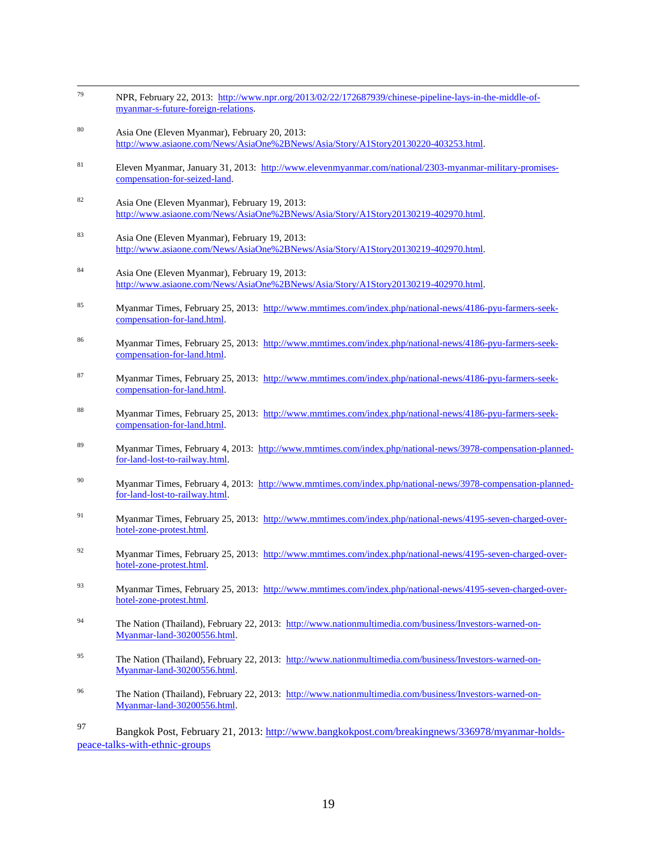- 79 NPR, February 22, 2013: [http://www.npr.org/2013/02/22/172687939/chinese-pipeline-lays-in-the-middle-of](http://www.npr.org/2013/02/22/172687939/chinese-pipeline-lays-in-the-middle-of-myanmar-s-future-foreign-relations)[myanmar-s-future-foreign-relations.](http://www.npr.org/2013/02/22/172687939/chinese-pipeline-lays-in-the-middle-of-myanmar-s-future-foreign-relations)
- <sup>80</sup> Asia One (Eleven Myanmar), February 20, 2013: [http://www.asiaone.com/News/AsiaOne%2BNews/Asia/Story/A1Story20130220-403253.html.](http://www.asiaone.com/News/AsiaOne%2BNews/Asia/Story/A1Story20130220-403253.html)
- <sup>81</sup> Eleven Myanmar, January 31, 2013: [http://www.elevenmyanmar.com/national/2303-myanmar-military-promises](http://www.elevenmyanmar.com/national/2303-myanmar-military-promises-compensation-for-seized-land)[compensation-for-seized-land.](http://www.elevenmyanmar.com/national/2303-myanmar-military-promises-compensation-for-seized-land)
- <sup>82</sup> Asia One (Eleven Myanmar), February 19, 2013: [http://www.asiaone.com/News/AsiaOne%2BNews/Asia/Story/A1Story20130219-402970.html.](http://www.asiaone.com/News/AsiaOne%2BNews/Asia/Story/A1Story20130219-402970.html)
- <sup>83</sup> Asia One (Eleven Myanmar), February 19, 2013: [http://www.asiaone.com/News/AsiaOne%2BNews/Asia/Story/A1Story20130219-402970.html.](http://www.asiaone.com/News/AsiaOne%2BNews/Asia/Story/A1Story20130219-402970.html)
- <sup>84</sup> Asia One (Eleven Myanmar), February 19, 2013: [http://www.asiaone.com/News/AsiaOne%2BNews/Asia/Story/A1Story20130219-402970.html.](http://www.asiaone.com/News/AsiaOne%2BNews/Asia/Story/A1Story20130219-402970.html)
- <sup>85</sup> Myanmar Times, February 25, 2013: [http://www.mmtimes.com/index.php/national-news/4186-pyu-farmers-seek](http://www.mmtimes.com/index.php/national-news/4186-pyu-farmers-seek-compensation-for-land.html)[compensation-for-land.html.](http://www.mmtimes.com/index.php/national-news/4186-pyu-farmers-seek-compensation-for-land.html)
- <sup>86</sup> Myanmar Times, February 25, 2013: [http://www.mmtimes.com/index.php/national-news/4186-pyu-farmers-seek](http://www.mmtimes.com/index.php/national-news/4186-pyu-farmers-seek-compensation-for-land.html)[compensation-for-land.html.](http://www.mmtimes.com/index.php/national-news/4186-pyu-farmers-seek-compensation-for-land.html)
- <sup>87</sup> Myanmar Times, February 25, 2013: [http://www.mmtimes.com/index.php/national-news/4186-pyu-farmers-seek](http://www.mmtimes.com/index.php/national-news/4186-pyu-farmers-seek-compensation-for-land.html)[compensation-for-land.html.](http://www.mmtimes.com/index.php/national-news/4186-pyu-farmers-seek-compensation-for-land.html)
- <sup>88</sup> Myanmar Times, February 25, 2013: [http://www.mmtimes.com/index.php/national-news/4186-pyu-farmers-seek](http://www.mmtimes.com/index.php/national-news/4186-pyu-farmers-seek-compensation-for-land.html)[compensation-for-land.html.](http://www.mmtimes.com/index.php/national-news/4186-pyu-farmers-seek-compensation-for-land.html)
- <sup>89</sup> Myanmar Times, February 4, 2013: [http://www.mmtimes.com/index.php/national-news/3978-compensation-planned](http://www.mmtimes.com/index.php/national-news/3978-compensation-planned-for-land-lost-to-railway.html)[for-land-lost-to-railway.html.](http://www.mmtimes.com/index.php/national-news/3978-compensation-planned-for-land-lost-to-railway.html)
- <sup>90</sup> Myanmar Times, February 4, 2013: [http://www.mmtimes.com/index.php/national-news/3978-compensation-planned](http://www.mmtimes.com/index.php/national-news/3978-compensation-planned-for-land-lost-to-railway.html)[for-land-lost-to-railway.html.](http://www.mmtimes.com/index.php/national-news/3978-compensation-planned-for-land-lost-to-railway.html)
- 91 Myanmar Times, February 25, 2013: [http://www.mmtimes.com/index.php/national-news/4195-seven-charged-over](http://www.mmtimes.com/index.php/national-news/4195-seven-charged-over-hotel-zone-protest.html)[hotel-zone-protest.html.](http://www.mmtimes.com/index.php/national-news/4195-seven-charged-over-hotel-zone-protest.html)
- <sup>92</sup> Myanmar Times, February 25, 2013: [http://www.mmtimes.com/index.php/national-news/4195-seven-charged-over](http://www.mmtimes.com/index.php/national-news/4195-seven-charged-over-hotel-zone-protest.html)[hotel-zone-protest.html.](http://www.mmtimes.com/index.php/national-news/4195-seven-charged-over-hotel-zone-protest.html)
- <sup>93</sup> Myanmar Times, February 25, 2013: [http://www.mmtimes.com/index.php/national-news/4195-seven-charged-over](http://www.mmtimes.com/index.php/national-news/4195-seven-charged-over-hotel-zone-protest.html)[hotel-zone-protest.html.](http://www.mmtimes.com/index.php/national-news/4195-seven-charged-over-hotel-zone-protest.html)
- <sup>94</sup> The Nation (Thailand), February 22, 2013: [http://www.nationmultimedia.com/business/Investors-warned-on-](http://www.nationmultimedia.com/business/Investors-warned-on-Myanmar-land-30200556.html)[Myanmar-land-30200556.html.](http://www.nationmultimedia.com/business/Investors-warned-on-Myanmar-land-30200556.html)
- <sup>95</sup> The Nation (Thailand), February 22, 2013: [http://www.nationmultimedia.com/business/Investors-warned-on-](http://www.nationmultimedia.com/business/Investors-warned-on-Myanmar-land-30200556.html)[Myanmar-land-30200556.html.](http://www.nationmultimedia.com/business/Investors-warned-on-Myanmar-land-30200556.html)
- <sup>96</sup> The Nation (Thailand), February 22, 2013: [http://www.nationmultimedia.com/business/Investors-warned-on-](http://www.nationmultimedia.com/business/Investors-warned-on-Myanmar-land-30200556.html)[Myanmar-land-30200556.html.](http://www.nationmultimedia.com/business/Investors-warned-on-Myanmar-land-30200556.html)

<sup>97</sup> Bangkok Post, February 21, 2013[: http://www.bangkokpost.com/breakingnews/336978/myanmar-holds](http://www.bangkokpost.com/breakingnews/336978/myanmar-holds-peace-talks-with-ethnic-groups)[peace-talks-with-ethnic-groups](http://www.bangkokpost.com/breakingnews/336978/myanmar-holds-peace-talks-with-ethnic-groups)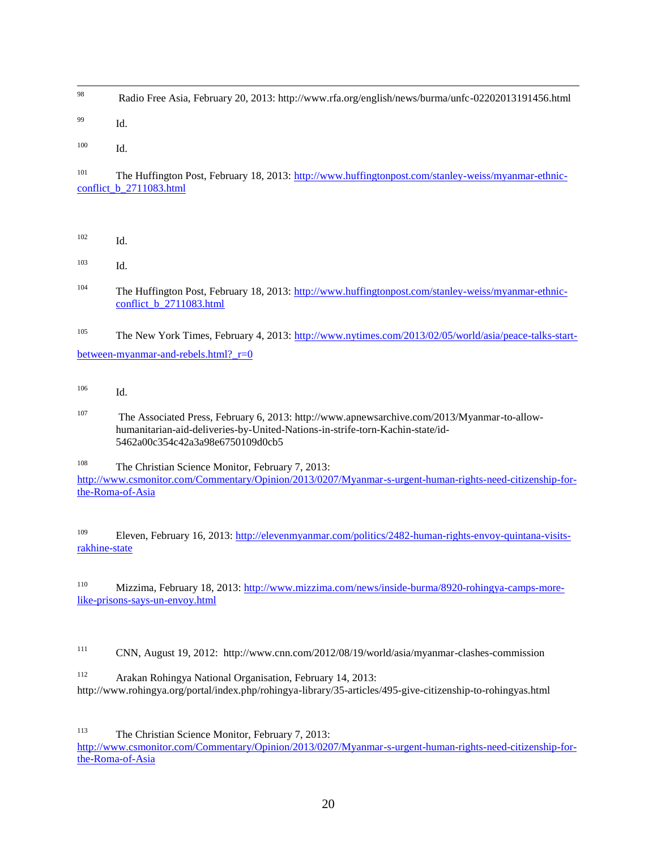98 <sup>98</sup> Radio Free Asia, February 20, 2013: http://www.rfa.org/english/news/burma/unfc-02202013191456.html

<sup>99</sup> Id.

 $100$  Id.

<sup>101</sup> The Huffington Post, February 18, 2013: [http://www.huffingtonpost.com/stanley-weiss/myanmar-ethnic](http://www.huffingtonpost.com/stanley-weiss/myanmar-ethnic-conflict_b_2711083.html)conflict b 2711083.html

<sup>102</sup> Id.

<sup>103</sup> Id.

<sup>104</sup> The Huffington Post, February 18, 2013: [http://www.huffingtonpost.com/stanley-weiss/myanmar-ethnic](http://www.huffingtonpost.com/stanley-weiss/myanmar-ethnic-conflict_b_2711083.html)[conflict\\_b\\_2711083.html](http://www.huffingtonpost.com/stanley-weiss/myanmar-ethnic-conflict_b_2711083.html)

<sup>105</sup> The New York Times, February 4, 2013: [http://www.nytimes.com/2013/02/05/world/asia/peace-talks-start](http://www.nytimes.com/2013/02/05/world/asia/peace-talks-start-between-myanmar-and-rebels.html?_r=0)[between-myanmar-and-rebels.html?\\_r=0](http://www.nytimes.com/2013/02/05/world/asia/peace-talks-start-between-myanmar-and-rebels.html?_r=0)

- <sup>106</sup> Id.
- <sup>107</sup> The Associated Press, February 6, 2013: http://www.apnewsarchive.com/2013/Myanmar-to-allowhumanitarian-aid-deliveries-by-United-Nations-in-strife-torn-Kachin-state/id-5462a00c354c42a3a98e6750109d0cb5

<sup>108</sup> The Christian Science Monitor, February 7, 2013: [http://www.csmonitor.com/Commentary/Opinion/2013/0207/Myanmar-s-urgent-human-rights-need-citizenship-for](http://www.csmonitor.com/Commentary/Opinion/2013/0207/Myanmar-s-urgent-human-rights-need-citizenship-for-the-Roma-of-Asia)[the-Roma-of-Asia](http://www.csmonitor.com/Commentary/Opinion/2013/0207/Myanmar-s-urgent-human-rights-need-citizenship-for-the-Roma-of-Asia)

<sup>109</sup> Eleven, February 16, 2013[: http://elevenmyanmar.com/politics/2482-human-rights-envoy-quintana-visits](http://elevenmyanmar.com/politics/2482-human-rights-envoy-quintana-visits-rakhine-state)[rakhine-state](http://elevenmyanmar.com/politics/2482-human-rights-envoy-quintana-visits-rakhine-state)

<sup>110</sup> Mizzima, February 18, 2013: [http://www.mizzima.com/news/inside-burma/8920-rohingya-camps-more](http://www.mizzima.com/news/inside-burma/8920-rohingya-camps-more-like-prisons-says-un-envoy.html)[like-prisons-says-un-envoy.html](http://www.mizzima.com/news/inside-burma/8920-rohingya-camps-more-like-prisons-says-un-envoy.html)

- <sup>111</sup> CNN, August 19, 2012: http://www.cnn.com/2012/08/19/world/asia/myanmar-clashes-commission
- 112 Arakan Rohingya National Organisation, February 14, 2013: http://www.rohingya.org/portal/index.php/rohingya-library/35-articles/495-give-citizenship-to-rohingyas.html

113 The Christian Science Monitor, February 7, 2013: [http://www.csmonitor.com/Commentary/Opinion/2013/0207/Myanmar-s-urgent-human-rights-need-citizenship-for](http://www.csmonitor.com/Commentary/Opinion/2013/0207/Myanmar-s-urgent-human-rights-need-citizenship-for-the-Roma-of-Asia)[the-Roma-of-Asia](http://www.csmonitor.com/Commentary/Opinion/2013/0207/Myanmar-s-urgent-human-rights-need-citizenship-for-the-Roma-of-Asia)